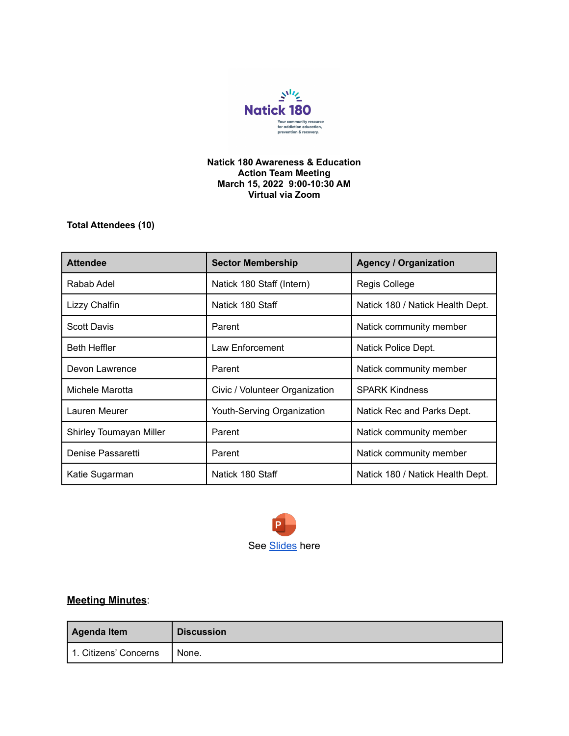

## **Natick 180 Awareness & Education Action Team Meeting March 15, 2022 9:00-10:30 AM Virtual via Zoom**

**Total Attendees (10)**

| <b>Attendee</b>         | <b>Sector Membership</b>       | <b>Agency / Organization</b>     |
|-------------------------|--------------------------------|----------------------------------|
| Rabab Adel              | Natick 180 Staff (Intern)      | Regis College                    |
| Lizzy Chalfin           | Natick 180 Staff               | Natick 180 / Natick Health Dept. |
| <b>Scott Davis</b>      | Parent                         | Natick community member          |
| <b>Beth Heffler</b>     | Law Enforcement                | Natick Police Dept.              |
| Devon Lawrence          | Parent                         | Natick community member          |
| Michele Marotta         | Civic / Volunteer Organization | <b>SPARK Kindness</b>            |
| Lauren Meurer           | Youth-Serving Organization     | Natick Rec and Parks Dept.       |
| Shirley Toumayan Miller | Parent                         | Natick community member          |
| Denise Passaretti       | Parent                         | Natick community member          |
| Katie Sugarman          | Natick 180 Staff               | Natick 180 / Natick Health Dept. |



## **Meeting Minutes**:

| <b>Agenda Item</b>    | <b>Discussion</b> |
|-----------------------|-------------------|
| 1. Citizens' Concerns | None.             |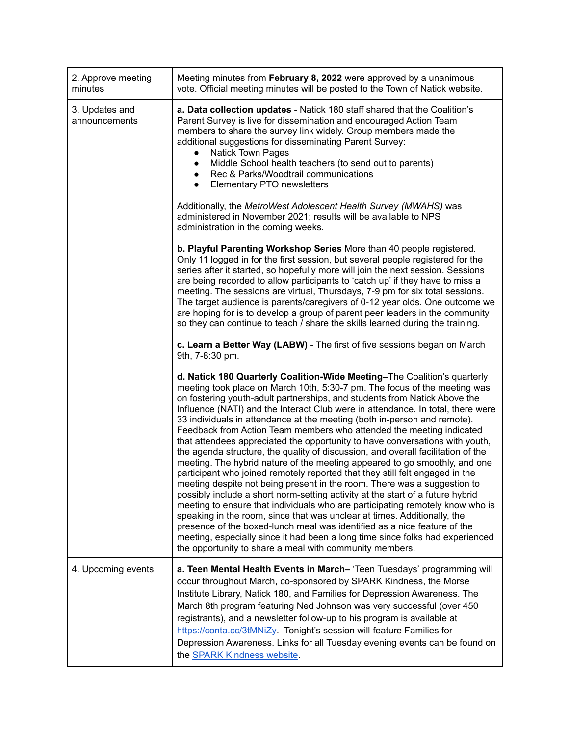| 2. Approve meeting<br>minutes   | Meeting minutes from February 8, 2022 were approved by a unanimous<br>vote. Official meeting minutes will be posted to the Town of Natick website.                                                                                                                                                                                                                                                                                                                                                                                                                                                                                                                                                                                                                                                                                                                                                                                                                                                                                                                                                                                                                                                                                                                                                                                                             |  |  |
|---------------------------------|----------------------------------------------------------------------------------------------------------------------------------------------------------------------------------------------------------------------------------------------------------------------------------------------------------------------------------------------------------------------------------------------------------------------------------------------------------------------------------------------------------------------------------------------------------------------------------------------------------------------------------------------------------------------------------------------------------------------------------------------------------------------------------------------------------------------------------------------------------------------------------------------------------------------------------------------------------------------------------------------------------------------------------------------------------------------------------------------------------------------------------------------------------------------------------------------------------------------------------------------------------------------------------------------------------------------------------------------------------------|--|--|
| 3. Updates and<br>announcements | a. Data collection updates - Natick 180 staff shared that the Coalition's<br>Parent Survey is live for dissemination and encouraged Action Team<br>members to share the survey link widely. Group members made the<br>additional suggestions for disseminating Parent Survey:<br><b>Natick Town Pages</b><br>Middle School health teachers (to send out to parents)<br>$\bullet$<br>Rec & Parks/Woodtrail communications<br>$\bullet$<br>Elementary PTO newsletters<br>$\bullet$                                                                                                                                                                                                                                                                                                                                                                                                                                                                                                                                                                                                                                                                                                                                                                                                                                                                               |  |  |
|                                 | Additionally, the MetroWest Adolescent Health Survey (MWAHS) was<br>administered in November 2021; results will be available to NPS<br>administration in the coming weeks.                                                                                                                                                                                                                                                                                                                                                                                                                                                                                                                                                                                                                                                                                                                                                                                                                                                                                                                                                                                                                                                                                                                                                                                     |  |  |
|                                 | b. Playful Parenting Workshop Series More than 40 people registered.<br>Only 11 logged in for the first session, but several people registered for the<br>series after it started, so hopefully more will join the next session. Sessions<br>are being recorded to allow participants to 'catch up' if they have to miss a<br>meeting. The sessions are virtual, Thursdays, 7-9 pm for six total sessions.<br>The target audience is parents/caregivers of 0-12 year olds. One outcome we<br>are hoping for is to develop a group of parent peer leaders in the community<br>so they can continue to teach / share the skills learned during the training.                                                                                                                                                                                                                                                                                                                                                                                                                                                                                                                                                                                                                                                                                                     |  |  |
|                                 | c. Learn a Better Way (LABW) - The first of five sessions began on March<br>9th, 7-8:30 pm.                                                                                                                                                                                                                                                                                                                                                                                                                                                                                                                                                                                                                                                                                                                                                                                                                                                                                                                                                                                                                                                                                                                                                                                                                                                                    |  |  |
|                                 | d. Natick 180 Quarterly Coalition-Wide Meeting-The Coalition's quarterly<br>meeting took place on March 10th, 5:30-7 pm. The focus of the meeting was<br>on fostering youth-adult partnerships, and students from Natick Above the<br>Influence (NATI) and the Interact Club were in attendance. In total, there were<br>33 individuals in attendance at the meeting (both in-person and remote).<br>Feedback from Action Team members who attended the meeting indicated<br>that attendees appreciated the opportunity to have conversations with youth,<br>the agenda structure, the quality of discussion, and overall facilitation of the<br>meeting. The hybrid nature of the meeting appeared to go smoothly, and one<br>participant who joined remotely reported that they still felt engaged in the<br>meeting despite not being present in the room. There was a suggestion to<br>possibly include a short norm-setting activity at the start of a future hybrid<br>meeting to ensure that individuals who are participating remotely know who is<br>speaking in the room, since that was unclear at times. Additionally, the<br>presence of the boxed-lunch meal was identified as a nice feature of the<br>meeting, especially since it had been a long time since folks had experienced<br>the opportunity to share a meal with community members. |  |  |
| 4. Upcoming events              | a. Teen Mental Health Events in March-'Teen Tuesdays' programming will<br>occur throughout March, co-sponsored by SPARK Kindness, the Morse<br>Institute Library, Natick 180, and Families for Depression Awareness. The<br>March 8th program featuring Ned Johnson was very successful (over 450<br>registrants), and a newsletter follow-up to his program is available at<br>https://conta.cc/3tMNiZy. Tonight's session will feature Families for<br>Depression Awareness. Links for all Tuesday evening events can be found on<br>the <b>SPARK Kindness website</b> .                                                                                                                                                                                                                                                                                                                                                                                                                                                                                                                                                                                                                                                                                                                                                                                     |  |  |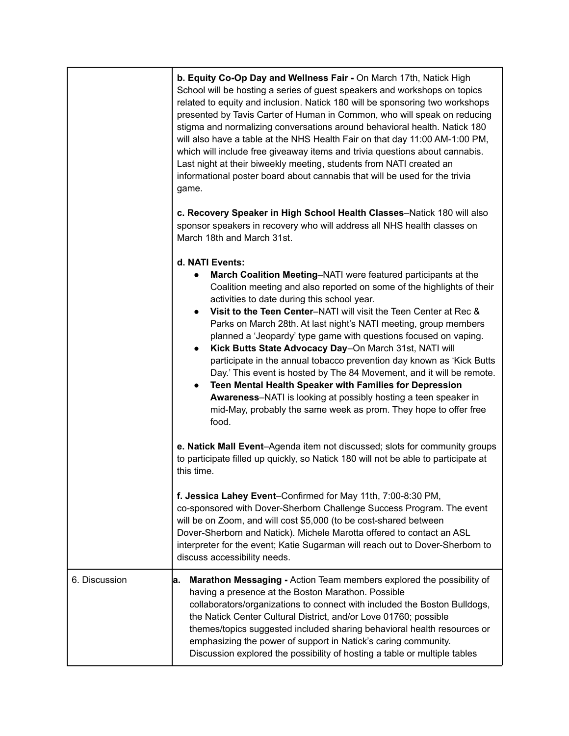|               | b. Equity Co-Op Day and Wellness Fair - On March 17th, Natick High<br>School will be hosting a series of guest speakers and workshops on topics<br>related to equity and inclusion. Natick 180 will be sponsoring two workshops<br>presented by Tavis Carter of Human in Common, who will speak on reducing<br>stigma and normalizing conversations around behavioral health. Natick 180<br>will also have a table at the NHS Health Fair on that day 11:00 AM-1:00 PM,<br>which will include free giveaway items and trivia questions about cannabis.<br>Last night at their biweekly meeting, students from NATI created an<br>informational poster board about cannabis that will be used for the trivia<br>game.                                                                                                                                               |
|---------------|--------------------------------------------------------------------------------------------------------------------------------------------------------------------------------------------------------------------------------------------------------------------------------------------------------------------------------------------------------------------------------------------------------------------------------------------------------------------------------------------------------------------------------------------------------------------------------------------------------------------------------------------------------------------------------------------------------------------------------------------------------------------------------------------------------------------------------------------------------------------|
|               | c. Recovery Speaker in High School Health Classes-Natick 180 will also<br>sponsor speakers in recovery who will address all NHS health classes on<br>March 18th and March 31st.                                                                                                                                                                                                                                                                                                                                                                                                                                                                                                                                                                                                                                                                                    |
|               | d. NATI Events:<br>March Coalition Meeting-NATI were featured participants at the<br>Coalition meeting and also reported on some of the highlights of their<br>activities to date during this school year.<br>Visit to the Teen Center-NATI will visit the Teen Center at Rec &<br>$\bullet$<br>Parks on March 28th. At last night's NATI meeting, group members<br>planned a 'Jeopardy' type game with questions focused on vaping.<br>Kick Butts State Advocacy Day-On March 31st, NATI will<br>participate in the annual tobacco prevention day known as 'Kick Butts<br>Day.' This event is hosted by The 84 Movement, and it will be remote.<br>Teen Mental Health Speaker with Families for Depression<br><b>Awareness-NATI</b> is looking at possibly hosting a teen speaker in<br>mid-May, probably the same week as prom. They hope to offer free<br>food. |
|               | e. Natick Mall Event-Agenda item not discussed; slots for community groups<br>to participate filled up quickly, so Natick 180 will not be able to participate at<br>this time.                                                                                                                                                                                                                                                                                                                                                                                                                                                                                                                                                                                                                                                                                     |
|               | f. Jessica Lahey Event-Confirmed for May 11th, 7:00-8:30 PM,<br>co-sponsored with Dover-Sherborn Challenge Success Program. The event<br>will be on Zoom, and will cost \$5,000 (to be cost-shared between<br>Dover-Sherborn and Natick). Michele Marotta offered to contact an ASL<br>interpreter for the event; Katie Sugarman will reach out to Dover-Sherborn to<br>discuss accessibility needs.                                                                                                                                                                                                                                                                                                                                                                                                                                                               |
| 6. Discussion | Marathon Messaging - Action Team members explored the possibility of<br>а.<br>having a presence at the Boston Marathon. Possible<br>collaborators/organizations to connect with included the Boston Bulldogs,<br>the Natick Center Cultural District, and/or Love 01760; possible<br>themes/topics suggested included sharing behavioral health resources or<br>emphasizing the power of support in Natick's caring community.<br>Discussion explored the possibility of hosting a table or multiple tables                                                                                                                                                                                                                                                                                                                                                        |